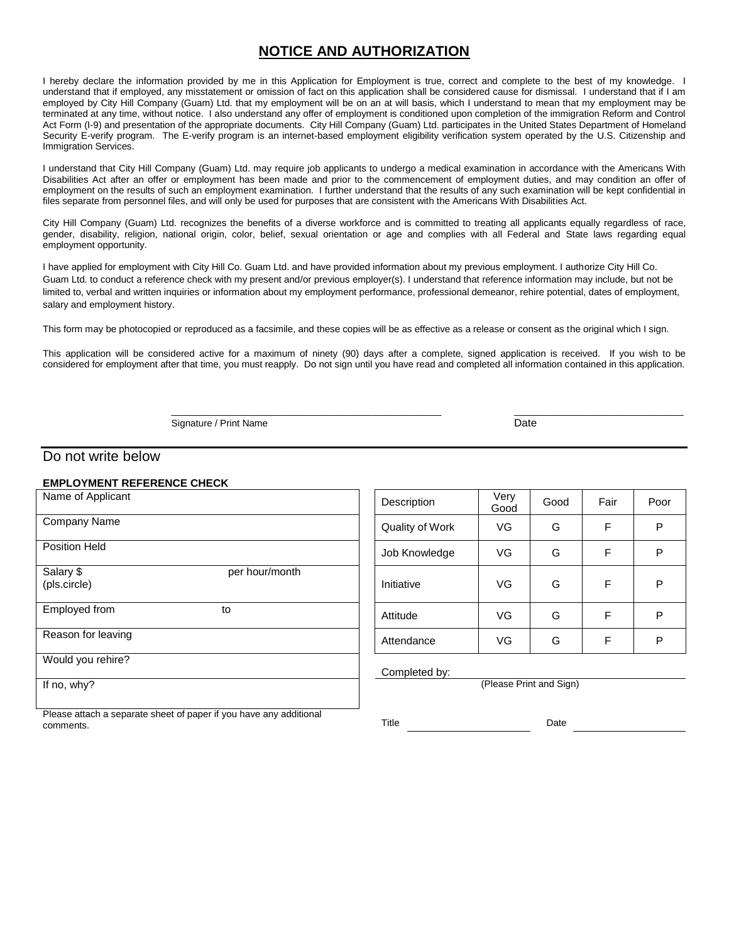### **NOTICE AND AUTHORIZATION**

I hereby declare the information provided by me in this Application for Employment is true, correct and complete to the best of my knowledge. I understand that if employed, any misstatement or omission of fact on this application shall be considered cause for dismissal. I understand that if I am employed by City Hill Company (Guam) Ltd. that my employment will be on an at will basis, which I understand to mean that my employment may be terminated at any time, without notice. I also understand any offer of employment is conditioned upon completion of the immigration Reform and Control Act Form (I-9) and presentation of the appropriate documents. City Hill Company (Guam) Ltd. participates in the United States Department of Homeland Security E-verify program. The E-verify program is an internet-based employment eligibility verification system operated by the U.S. Citizenship and Immigration Services.

I understand that City Hill Company (Guam) Ltd. may require job applicants to undergo a medical examination in accordance with the Americans With Disabilities Act after an offer or employment has been made and prior to the commencement of employment duties, and may condition an offer of employment on the results of such an employment examination. I further understand that the results of any such examination will be kept confidential in files separate from personnel files, and will only be used for purposes that are consistent with the Americans With Disabilities Act.

City Hill Company (Guam) Ltd. recognizes the benefits of a diverse workforce and is committed to treating all applicants equally regardless of race, gender, disability, religion, national origin, color, belief, sexual orientation or age and complies with all Federal and State laws regarding equal employment opportunity.

I have applied for employment with City Hill Co. Guam Ltd. and have provided information about my previous employment. I authorize City Hill Co. Guam Ltd. to conduct a reference check with my present and/or previous employer(s). I understand that reference information may include, but not be limited to, verbal and written inquiries or information about my employment performance, professional demeanor, rehire potential, dates of employment, salary and employment history.

This form may be photocopied or reproduced as a facsimile, and these copies will be as effective as a release or consent as the original which I sign.

This application will be considered active for a maximum of ninety (90) days after a complete, signed application is received. If you wish to be considered for employment after that time, you must reapply. Do not sign until you have read and completed all information contained in this application.

Signature / Print Name Date

\_\_\_\_\_\_\_\_\_\_\_\_\_\_\_\_\_\_\_\_\_\_\_\_\_\_\_\_\_\_\_\_\_\_\_\_\_\_\_\_\_\_\_\_\_\_\_\_\_\_\_ \_\_\_\_\_\_\_\_\_\_\_\_\_\_\_\_\_\_\_\_\_\_\_\_\_\_\_\_\_\_\_\_

### Do not write below

#### **EMPLOYMENT REFERENCE CHECK**

| Name of Applicant                           | Description     | Very<br>Good | Good                    | Fair | Po |
|---------------------------------------------|-----------------|--------------|-------------------------|------|----|
| Company Name                                | Quality of Work | VG           | G                       | F    | P  |
| Position Held                               | Job Knowledge   | VG           | G                       | F    | P  |
| Salary \$<br>per hour/month<br>(pls.circle) | Initiative      | VG           | G                       | F    | P  |
| Employed from<br>to                         | Attitude        | VG           | G                       | F    | P  |
| Reason for leaving                          | Attendance      | VG           | G                       | F    | Р  |
| Would you rehire?                           | Completed by:   |              |                         |      |    |
| If no, why?                                 |                 |              | (Please Print and Sign) |      |    |
|                                             |                 |              |                         |      |    |

| Description     | Very<br>Good | Good | Fair | Poor |
|-----------------|--------------|------|------|------|
| Quality of Work | VG           | G    | F    | P    |
| Job Knowledge   | VG           | G    | F    | P    |
| Initiative      | VG           | G    | F    | Ρ    |
| Attitude        | VG           | G    | F    | P    |
| Attendance      | VG           | G    | F    | P    |

Please attach a separate sheet of paper if you have any additional comments.

Title Date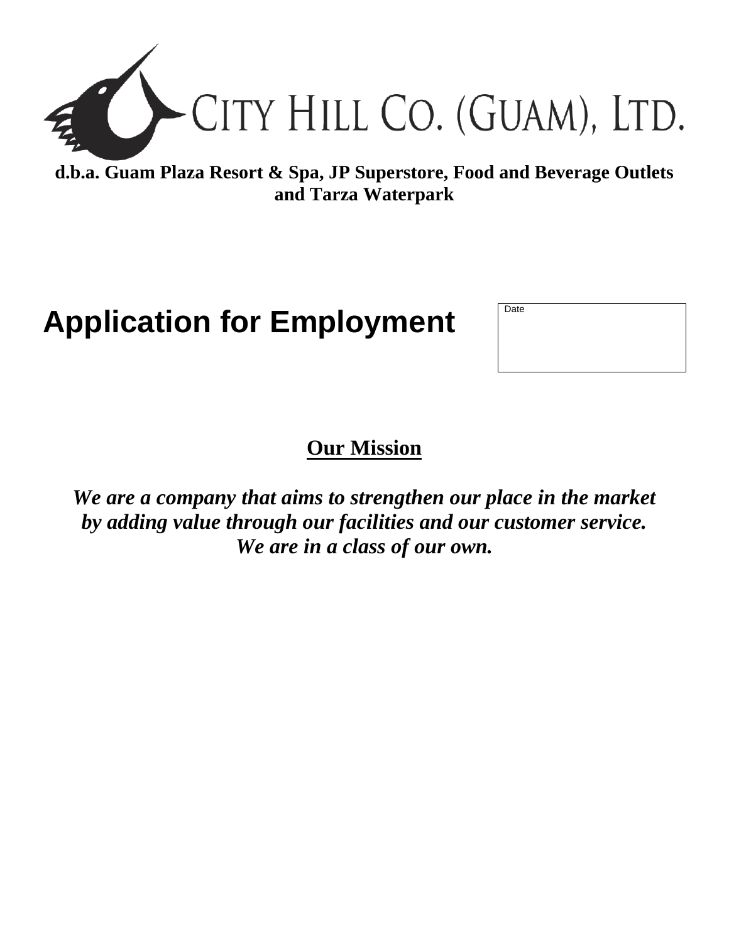

**d.b.a. Guam Plaza Resort & Spa, JP Superstore, Food and Beverage Outlets and Tarza Waterpark**

# **Application for Employment**

| Date |  |  |  |
|------|--|--|--|
|      |  |  |  |
|      |  |  |  |
|      |  |  |  |
|      |  |  |  |
|      |  |  |  |

## **Our Mission**

*We are a company that aims to strengthen our place in the market by adding value through our facilities and our customer service. We are in a class of our own.*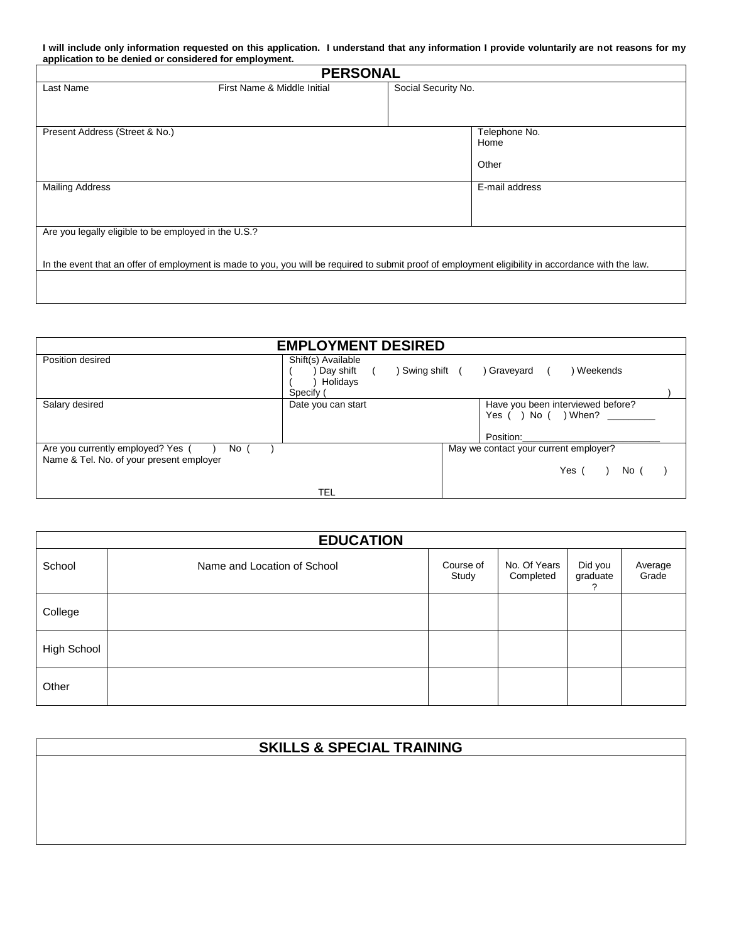**I will include only information requested on this application. I understand that any information I provide voluntarily are not reasons for my application to be denied or considered for employment.**

| <b>PERSONAL</b>                                      |                                                                                                                                                     |                     |                |  |  |
|------------------------------------------------------|-----------------------------------------------------------------------------------------------------------------------------------------------------|---------------------|----------------|--|--|
| Last Name                                            | First Name & Middle Initial                                                                                                                         | Social Security No. |                |  |  |
|                                                      |                                                                                                                                                     |                     |                |  |  |
|                                                      |                                                                                                                                                     |                     |                |  |  |
| Present Address (Street & No.)                       |                                                                                                                                                     |                     | Telephone No.  |  |  |
|                                                      |                                                                                                                                                     |                     | Home           |  |  |
|                                                      |                                                                                                                                                     |                     | Other          |  |  |
|                                                      |                                                                                                                                                     |                     |                |  |  |
| <b>Mailing Address</b>                               |                                                                                                                                                     |                     | E-mail address |  |  |
|                                                      |                                                                                                                                                     |                     |                |  |  |
|                                                      |                                                                                                                                                     |                     |                |  |  |
| Are you legally eligible to be employed in the U.S.? |                                                                                                                                                     |                     |                |  |  |
|                                                      |                                                                                                                                                     |                     |                |  |  |
|                                                      | In the event that an offer of employment is made to you, you will be required to submit proof of employment eligibility in accordance with the law. |                     |                |  |  |
|                                                      |                                                                                                                                                     |                     |                |  |  |
|                                                      |                                                                                                                                                     |                     |                |  |  |

| <b>EMPLOYMENT DESIRED</b>                                                             |                                                                         |  |                                                                        |  |  |  |
|---------------------------------------------------------------------------------------|-------------------------------------------------------------------------|--|------------------------------------------------------------------------|--|--|--|
| Position desired                                                                      | Shift(s) Available<br>Day shift<br>Swing shift<br>Holidays<br>Specify ( |  | ) Graveyard<br>) Weekends                                              |  |  |  |
| Salary desired                                                                        | Date you can start                                                      |  | Have you been interviewed before?<br>Yes ( ) No ( ) When?<br>Position: |  |  |  |
| Are you currently employed? Yes (<br>No (<br>Name & Tel. No. of your present employer |                                                                         |  | May we contact your current employer?<br>Yes $($ $)$<br>No (           |  |  |  |
|                                                                                       | TEL                                                                     |  |                                                                        |  |  |  |

|             | <b>EDUCATION</b>            |                    |                           |                     |                  |  |  |  |  |
|-------------|-----------------------------|--------------------|---------------------------|---------------------|------------------|--|--|--|--|
| School      | Name and Location of School | Course of<br>Study | No. Of Years<br>Completed | Did you<br>graduate | Average<br>Grade |  |  |  |  |
| College     |                             |                    |                           |                     |                  |  |  |  |  |
| High School |                             |                    |                           |                     |                  |  |  |  |  |
| Other       |                             |                    |                           |                     |                  |  |  |  |  |

| <b>SKILLS &amp; SPECIAL TRAINING</b> |  |  |  |  |
|--------------------------------------|--|--|--|--|
|                                      |  |  |  |  |
|                                      |  |  |  |  |
|                                      |  |  |  |  |
|                                      |  |  |  |  |
|                                      |  |  |  |  |